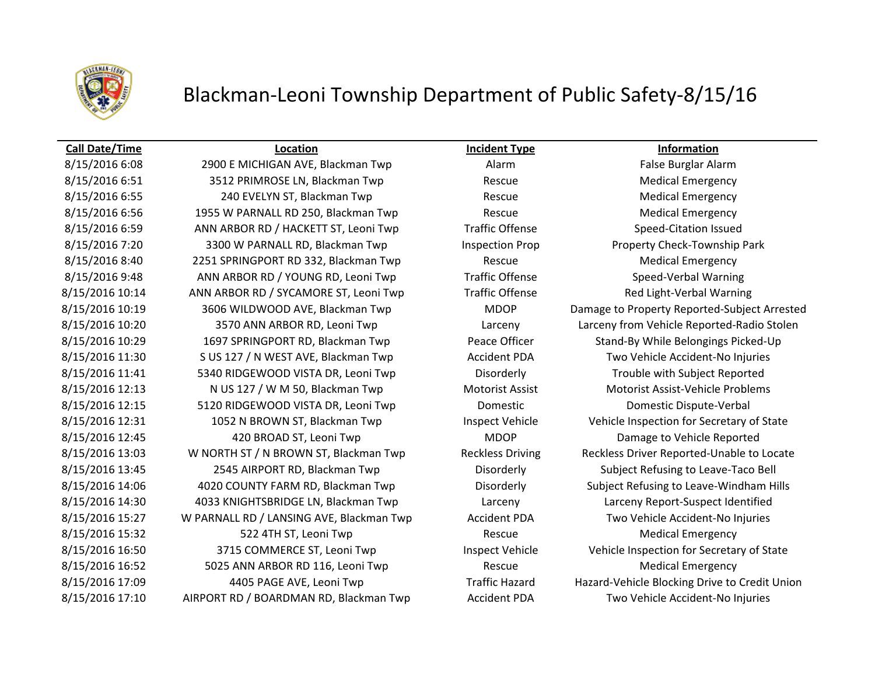

## Blackman-Leoni Township Department of Public Safety-8/15/16

## **Call Date/Time Location Incident Type Information**

8/15/2016 6:08 2900 E MICHIGAN AVE, Blackman Twp Alarm Alarm False Burglar Alarm 8/15/2016 6:51 3512 PRIMROSE LN, Blackman Twp Rescue Rescue Medical Emergency 8/15/2016 6:55 240 EVELYN ST, Blackman Twp Rescue Rescue Medical Emergency 8/15/2016 6:56 1955 W PARNALL RD 250, Blackman Twp Rescue Rescue Medical Emergency 8/15/2016 6:59 ANN ARBOR RD / HACKETT ST, Leoni Twp Traffic Offense Speed-Citation Issued 8/15/2016 7:20 3300 W PARNALL RD, Blackman Twp Inspection Prop Property Check-Township Park 8/15/2016 8:40 2251 SPRINGPORT RD 332, Blackman Twp Rescue Rescue Medical Emergency 8/15/2016 9:48 ANN ARBOR RD / YOUNG RD, Leoni Twp Traffic Offense Speed-Verbal Warning 8/15/2016 10:14 ANN ARBOR RD / SYCAMORE ST, Leoni Twp Traffic Offense Red Light-Verbal Warning 8/15/2016 10:20 3570 ANN ARBOR RD, Leoni Twp Larceny Larceny from Vehicle Reported-Radio Stolen 8/15/2016 10:29 1697 SPRINGPORT RD, Blackman Twp Peace Officer Stand-By While Belongings Picked-Up 8/15/2016 11:30 S US 127 / N WEST AVE, Blackman Twp Accident PDA Two Vehicle Accident-No Injuries 8/15/2016 11:41 5340 RIDGEWOOD VISTA DR, Leoni Twp Disorderly Trouble with Subject Reported 8/15/2016 12:13 N US 127 / W M 50, Blackman Twp Motorist Assist Motorist Assist Motorist Assist-Vehicle Problems 8/15/2016 12:15 5120 RIDGEWOOD VISTA DR, Leoni Twp Domestic Domestic Dispute-Verbal 8/15/2016 12:31 1052 N BROWN ST, Blackman Twp Inspect Vehicle Vehicle Inspection for Secretary of State 8/15/2016 12:45 420 BROAD ST, Leoni Twp MDOP Damage to Vehicle Reported 8/15/2016 13:03 W NORTH ST / N BROWN ST, Blackman Twp Reckless Driving Reckless Driver Reported-Unable to Locate 8/15/2016 13:45 2545 AIRPORT RD, Blackman Twp Disorderly Subject Refusing to Leave-Taco Bell 8/15/2016 14:06 4020 COUNTY FARM RD, Blackman Twp Disorderly Subject Refusing to Leave-Windham Hills 8/15/2016 14:30 4033 KNIGHTSBRIDGE LN, Blackman Twp Larceny Larceny Report-Suspect Identified 8/15/2016 15:27 W PARNALL RD / LANSING AVE, Blackman Twp Accident PDA Two Vehicle Accident-No Injuries 8/15/2016 15:32 **522 4TH ST, Leoni Twp** Rescue Rescue Medical Emergency 8/15/2016 16:50 3715 COMMERCE ST, Leoni Twp Inspect Vehicle Vehicle Vehicle Inspection for Secretary of State 8/15/2016 16:52 5025 ANN ARBOR RD 116, Leoni Twp Rescue Rescue Medical Emergency 8/15/2016 17:09 4405 PAGE AVE, Leoni Twp Traffic Hazard Hazard-Vehicle Blocking Drive to Credit Union 8/15/2016 17:10 AIRPORT RD / BOARDMAN RD, Blackman Twp Accident PDA Two Vehicle Accident-No Injuries

8/15/2016 10:19 3606 WILDWOOD AVE, Blackman Twp MDOP Damage to Property Reported-Subject Arrested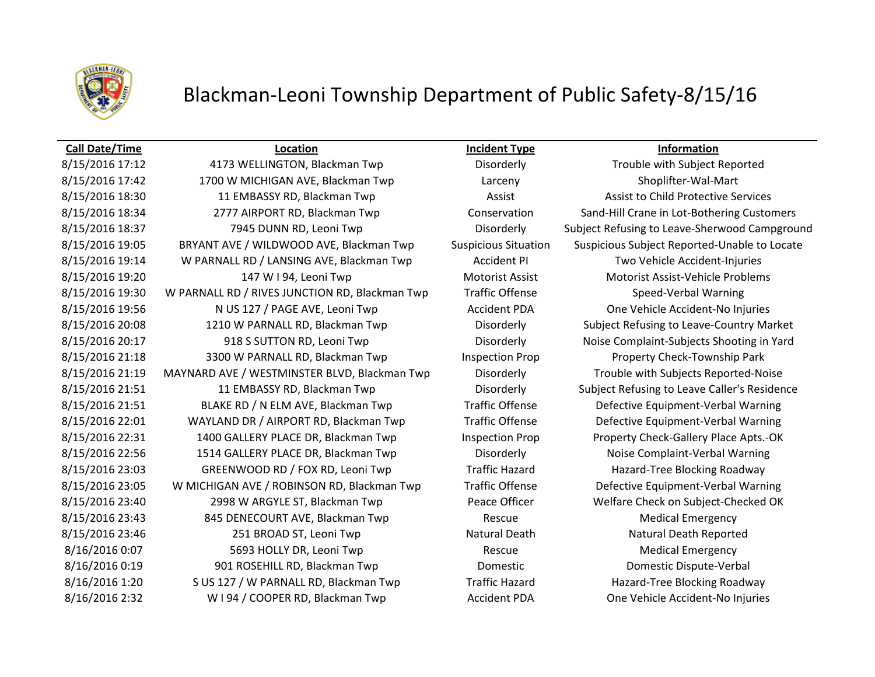

# Blackman-Leoni Township Department of Public Safety-8/15/16

### **Call Date/Time Location Incident Type Information**

8/15/2016 17:12 4173 WELLINGTON, Blackman Twp Disorderly Trouble with Subject Reported 8/15/2016 17:42 1700 W MICHIGAN AVE, Blackman Twp Larceny Larceny Shoplifter-Wal-Mart 8/15/2016 18:30 11 EMBASSY RD, Blackman Twp **Assist Assist Assist to Child Protective Services** 8/15/2016 18:34 2777 AIRPORT RD, Blackman Twp Conservation Sand-Hill Crane in Lot-Bothering Customers 8/15/2016 18:37 7945 DUNN RD, Leoni Twp Disorderly Subject Refusing to Leave-Sherwood Campground 8/15/2016 19:05 BRYANT AVE / WILDWOOD AVE, Blackman Twp Suspicious Situation Suspicious Subject Reported-Unable to Locate 8/15/2016 19:14 W PARNALL RD / LANSING AVE, Blackman Twp Accident PI Two Vehicle Accident-Injuries 8/15/2016 19:20 147 W I 94, Leoni Twp Motorist Assist Motorist Assist Motorist Assist-Vehicle Problems 8/15/2016 19:30 W PARNALL RD / RIVES JUNCTION RD, Blackman Twp Traffic Offense Speed-Verbal Warning 8/15/2016 19:56 N US 127 / PAGE AVE, Leoni Twp **Accident PDA** One Vehicle Accident-No Injuries 8/15/2016 20:08 1210 W PARNALL RD, Blackman Twp Disorderly Subject Refusing to Leave-Country Market 8/15/2016 20:17 918 S SUTTON RD, Leoni Twp Disorderly Noise Complaint-Subjects Shooting in Yard 8/15/2016 21:18 3300 W PARNALL RD, Blackman Twp Inspection Prop Property Check-Township Park 8/15/2016 21:19 MAYNARD AVE / WESTMINSTER BLVD, Blackman Twp Disorderly Trouble with Subjects Reported-Noise 8/15/2016 21:51 11 EMBASSY RD, Blackman Twp Disorderly Subject Refusing to Leave Caller's Residence 8/15/2016 21:51 BLAKE RD / N ELM AVE, Blackman Twp Traffic Offense Defective Equipment-Verbal Warning 8/15/2016 22:01 WAYLAND DR / AIRPORT RD, Blackman Twp Traffic Offense Defective Equipment-Verbal Warning 8/15/2016 22:31 1400 GALLERY PLACE DR, Blackman Twp Inspection Prop Property Check-Gallery Place Apts.-OK 8/15/2016 22:56 1514 GALLERY PLACE DR, Blackman Twp Disorderly Noise Complaint-Verbal Warning 8/15/2016 23:03 GREENWOOD RD / FOX RD, Leoni Twp Traffic Hazard Hazard Hazard-Tree Blocking Roadway 8/15/2016 23:05 W MICHIGAN AVE / ROBINSON RD, Blackman Twp Traffic Offense Defective Equipment-Verbal Warning 8/15/2016 23:40 2998 W ARGYLE ST, Blackman Twp Peace Officer Welfare Check on Subject-Checked OK 8/15/2016 23:43 845 DENECOURT AVE, Blackman Twp Rescue Rescue Medical Emergency 8/15/2016 23:46 251 BROAD ST, Leoni Twp Natural Death Natural Death Natural Death Reported 8/16/2016 0:07 S693 HOLLY DR, Leoni Twp Rescue Rescue Medical Emergency 8/16/2016 0:19 901 ROSEHILL RD, Blackman Twp Domestic Domestic Dispute-Verbal 8/16/2016 1:20 S US 127 / W PARNALL RD, Blackman Twp Traffic Hazard Hazard Hazard-Tree Blocking Roadway 8/16/2016 2:32 W I 94 / COOPER RD, Blackman Twp **Accident PDA** One Vehicle Accident-No Injuries